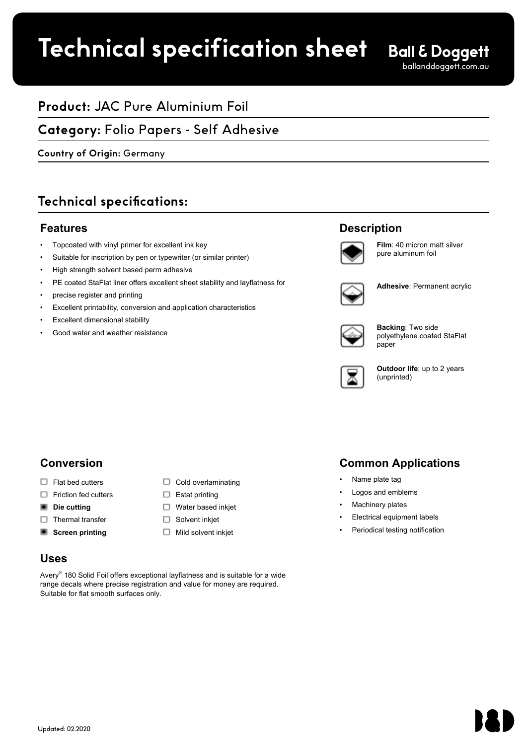# **Technical specification sheet**

## **Product:** JAC Pure Aluminium Foil

## **Category:** Folio Papers - Self Adhesive

## Country of Origin: Germany<br>**Country of Origin:** Germany **Country of Origin:** Germany

## **Technical specifications:**

### **Features**

- Topcoated with vinyl primer for excellent ink key
- Suitable for inscription by pen or typewriter (or similar printer)
- High strength solvent based perm adhesive
- PE coated StaFlat liner offers excellent sheet stability and layflatness for
- precise register and printing
- Excellent printability, conversion and application characteristics
- Excellent dimensional stability
- Good water and weather resistance

## **Description**



**Film**: 40 micron matt silver pure aluminum foil



**Adhesive**: Permanent acrylic



**Backing**: Two side polyethylene coated StaFlat paper



**Outdoor life**: up to 2 years (unprinted)

## **Conversion**

- $\Box$  Flat bed cutters  $\Box$  Cold overlaminating
- $\Box$  Friction fed cutters  $\Box$  Estat printing
- **Die cutting Water based inkjet**
- $\Box$  Thermal transfer  $\Box$  Solvent inkjet
- **Screen printing** Mild solvent inkjet

### **Uses**

Avery<sup>®</sup> 180 Solid Foil offers exceptional layflatness and is suitable for a wide range decals where precise registration and value for money are required. Suitable for flat smooth surfaces only.

## **Common Applications**

- Name plate tag
- Logos and emblems
- Machinery plates
- Electrical equipment labels
- Periodical testing notification